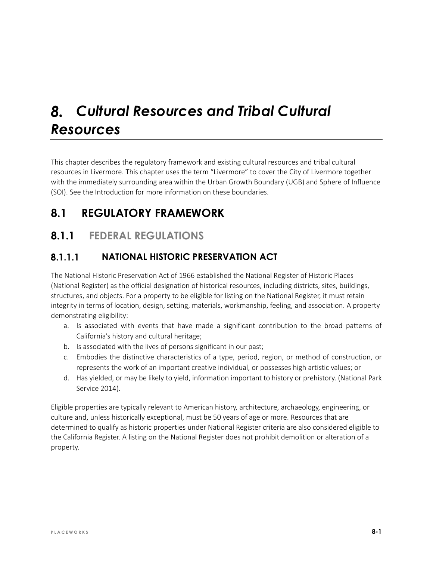# *Cultural Resources and Tribal Cultural Resources*

This chapter describes the regulatory framework and existing cultural resources and tribal cultural resources in Livermore. This chapter uses the term "Livermore" to cover the City of Livermore together with the immediately surrounding area within the Urban Growth Boundary (UGB) and Sphere of Influence (SOI). See the Introduction for more information on these boundaries.

# **8.1 REGULATORY FRAMEWORK**

# **8.1.1 FEDERAL REGULATIONS**

#### $8.1.1.1$ **NATIONAL HISTORIC PRESERVATION ACT**

The National Historic Preservation Act of 1966 established the National Register of Historic Places (National Register) as the official designation of historical resources, including districts, sites, buildings, structures, and objects. For a property to be eligible for listing on the National Register, it must retain integrity in terms of location, design, setting, materials, workmanship, feeling, and association. A property demonstrating eligibility:

- a. Is associated with events that have made a significant contribution to the broad patterns of California's history and cultural heritage;
- b. Is associated with the lives of persons significant in our past;
- c. Embodies the distinctive characteristics of a type, period, region, or method of construction, or represents the work of an important creative individual, or possesses high artistic values; or
- d. Has yielded, or may be likely to yield, information important to history or prehistory. (National Park Service 2014).

Eligible properties are typically relevant to American history, architecture, archaeology, engineering, or culture and, unless historically exceptional, must be 50 years of age or more. Resources that are determined to qualify as historic properties under National Register criteria are also considered eligible to the California Register. A listing on the National Register does not prohibit demolition or alteration of a property.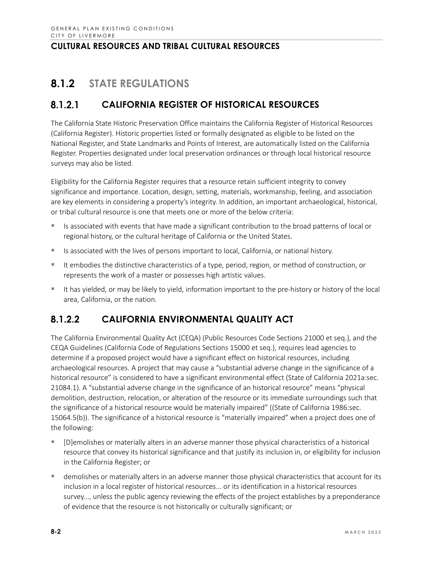# **8.1.2 STATE REGULATIONS**

#### $8.1.2.1$ **CALIFORNIA REGISTER OF HISTORICAL RESOURCES**

The California State Historic Preservation Office maintains the California Register of Historical Resources (California Register). Historic properties listed or formally designated as eligible to be listed on the National Register, and State Landmarks and Points of Interest, are automatically listed on the California Register. Properties designated under local preservation ordinances or through local historical resource surveys may also be listed.

Eligibility for the California Register requires that a resource retain sufficient integrity to convey significance and importance. Location, design, setting, materials, workmanship, feeling, and association are key elements in considering a property's integrity. In addition, an important archaeological, historical, or tribal cultural resource is one that meets one or more of the below criteria:

- Is associated with events that have made a significant contribution to the broad patterns of local or regional history, or the cultural heritage of California or the United States.
- Is associated with the lives of persons important to local, California, or national history.
- It embodies the distinctive characteristics of a type, period, region, or method of construction, or represents the work of a master or possesses high artistic values.
- It has yielded, or may be likely to yield, information important to the pre-history or history of the local area, California, or the nation.

#### 8.1.2.2 **CALIFORNIA ENVIRONMENTAL QUALITY ACT**

The California Environmental Quality Act (CEQA) (Public Resources Code Sections 21000 et seq.), and the CEQA Guidelines (California Code of Regulations Sections 15000 et seq.), requires lead agencies to determine if a proposed project would have a significant effect on historical resources, including archaeological resources. A project that may cause a "substantial adverse change in the significance of a historical resource" is considered to have a significant environmental effect (State of California 2021a:sec. 21084.1). A "substantial adverse change in the significance of an historical resource" means "physical demolition, destruction, relocation, or alteration of the resource or its immediate surroundings such that the significance of a historical resource would be materially impaired" ((State of California 1986:sec. 15064.5(b)). The significance of a historical resource is "materially impaired" when a project does one of the following:

- [D]emolishes or materially alters in an adverse manner those physical characteristics of a historical resource that convey its historical significance and that justify its inclusion in, or eligibility for inclusion in the California Register; or
- demolishes or materially alters in an adverse manner those physical characteristics that account for its inclusion in a local register of historical resources... or its identification in a historical resources survey..., unless the public agency reviewing the effects of the project establishes by a preponderance of evidence that the resource is not historically or culturally significant; or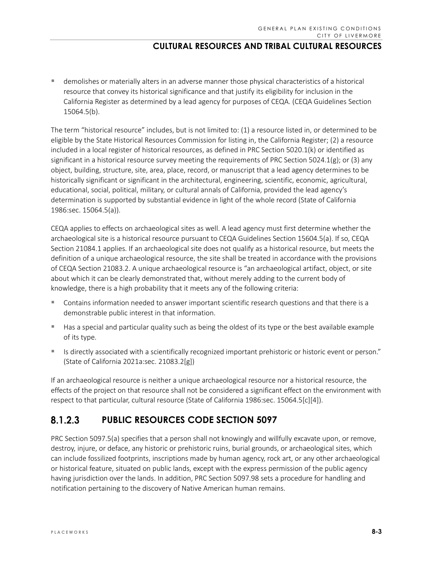demolishes or materially alters in an adverse manner those physical characteristics of a historical resource that convey its historical significance and that justify its eligibility for inclusion in the California Register as determined by a lead agency for purposes of CEQA. (CEQA Guidelines Section 15064.5(b).

The term "historical resource" includes, but is not limited to: (1) a resource listed in, or determined to be eligible by the State Historical Resources Commission for listing in, the California Register; (2) a resource included in a local register of historical resources, as defined in PRC Section 5020.1(k) or identified as significant in a historical resource survey meeting the requirements of PRC Section 5024.1(g); or (3) any object, building, structure, site, area, place, record, or manuscript that a lead agency determines to be historically significant or significant in the architectural, engineering, scientific, economic, agricultural, educational, social, political, military, or cultural annals of California, provided the lead agency's determination is supported by substantial evidence in light of the whole record (State of California 1986:sec. 15064.5(a)).

CEQA applies to effects on archaeological sites as well. A lead agency must first determine whether the archaeological site is a historical resource pursuant to CEQA Guidelines Section 15604.5(a). If so, CEQA Section 21084.1 applies. If an archaeological site does not qualify as a historical resource, but meets the definition of a unique archaeological resource, the site shall be treated in accordance with the provisions of CEQA Section 21083.2. A unique archaeological resource is "an archaeological artifact, object, or site about which it can be clearly demonstrated that, without merely adding to the current body of knowledge, there is a high probability that it meets any of the following criteria:

- Contains information needed to answer important scientific research questions and that there is a demonstrable public interest in that information.
- Has a special and particular quality such as being the oldest of its type or the best available example of its type.
- Is directly associated with a scientifically recognized important prehistoric or historic event or person." (State of California 2021a:sec. 21083.2[g])

If an archaeological resource is neither a unique archaeological resource nor a historical resource, the effects of the project on that resource shall not be considered a significant effect on the environment with respect to that particular, cultural resource (State of California 1986:sec. 15064.5[c][4]).

#### $8.1.2.3$ **PUBLIC RESOURCES CODE SECTION 5097**

PRC Section 5097.5(a) specifies that a person shall not knowingly and willfully excavate upon, or remove, destroy, injure, or deface, any historic or prehistoric ruins, burial grounds, or archaeological sites, which can include fossilized footprints, inscriptions made by human agency, rock art, or any other archaeological or historical feature, situated on public lands, except with the express permission of the public agency having jurisdiction over the lands. In addition, PRC Section 5097.98 sets a procedure for handling and notification pertaining to the discovery of Native American human remains.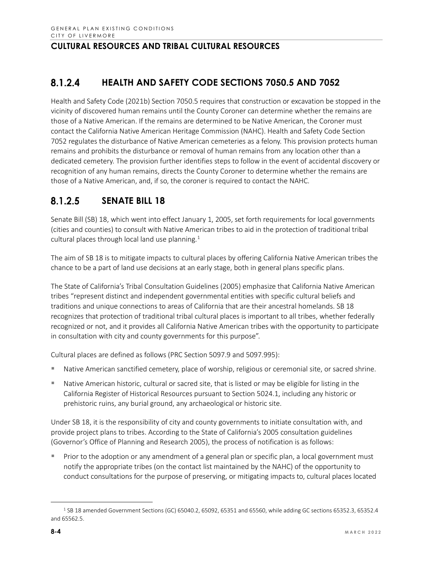#### 8.1.2.4 **HEALTH AND SAFETY CODE SECTIONS 7050.5 AND 7052**

Health and Safety Code (2021b) Section 7050.5 requires that construction or excavation be stopped in the vicinity of discovered human remains until the County Coroner can determine whether the remains are those of a Native American. If the remains are determined to be Native American, the Coroner must contact the California Native American Heritage Commission (NAHC). Health and Safety Code Section 7052 regulates the disturbance of Native American cemeteries as a felony. This provision protects human remains and prohibits the disturbance or removal of human remains from any location other than a dedicated cemetery. The provision further identifies steps to follow in the event of accidental discovery or recognition of any human remains, directs the County Coroner to determine whether the remains are those of a Native American, and, if so, the coroner is required to contact the NAHC.

#### $8.1.2.5$ **SENATE BILL 18**

Senate Bill (SB) 18, which went into effect January 1, 2005, set forth requirements for local governments (cities and counties) to consult with Native American tribes to aid in the protection of traditional tribal cultural places through local land use planning.<sup>[1](#page-3-0)</sup>

The aim of SB 18 is to mitigate impacts to cultural places by offering California Native American tribes the chance to be a part of land use decisions at an early stage, both in general plans specific plans.

The State of California's Tribal Consultation Guidelines (2005) emphasize that California Native American tribes "represent distinct and independent governmental entities with specific cultural beliefs and traditions and unique connections to areas of California that are their ancestral homelands. SB 18 recognizes that protection of traditional tribal cultural places is important to all tribes, whether federally recognized or not, and it provides all California Native American tribes with the opportunity to participate in consultation with city and county governments for this purpose".

Cultural places are defined as follows (PRC Section 5097.9 and 5097.995):

- Native American sanctified cemetery, place of worship, religious or ceremonial site, or sacred shrine.
- Native American historic, cultural or sacred site, that is listed or may be eligible for listing in the California Register of Historical Resources pursuant to Section 5024.1, including any historic or prehistoric ruins, any burial ground, any archaeological or historic site.

Under SB 18, it is the responsibility of city and county governments to initiate consultation with, and provide project plans to tribes. According to the State of California's 2005 consultation guidelines (Governor's Office of Planning and Research 2005), the process of notification is as follows:

 Prior to the adoption or any amendment of a general plan or specific plan, a local government must notify the appropriate tribes (on the contact list maintained by the NAHC) of the opportunity to conduct consultations for the purpose of preserving, or mitigating impacts to, cultural places located

<span id="page-3-0"></span><sup>1</sup> SB 18 amended Government Sections (GC) 65040.2, 65092, 65351 and 65560, while adding GC sections 65352.3, 65352.4 and 65562.5.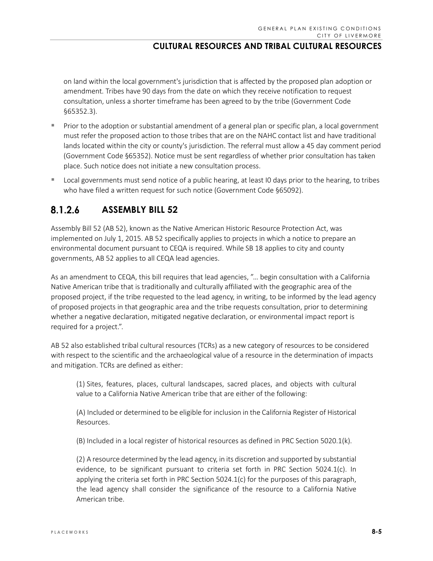on land within the local government's jurisdiction that is affected by the proposed plan adoption or amendment. Tribes have 90 days from the date on which they receive notification to request consultation, unless a shorter timeframe has been agreed to by the tribe (Government Code §65352.3).

- **Prior to the adoption or substantial amendment of a general plan or specific plan, a local government** must refer the proposed action to those tribes that are on the NAHC contact list and have traditional lands located within the city or county's jurisdiction. The referral must allow a 45 day comment period (Government Code §65352). Notice must be sent regardless of whether prior consultation has taken place. Such notice does not initiate a new consultation process.
- **Local governments must send notice of a public hearing, at least IO days prior to the hearing, to tribes** who have filed a written request for such notice (Government Code §65092).

#### $8.1.2.6$ **ASSEMBLY BILL 52**

Assembly Bill 52 (AB 52), known as the Native American Historic Resource Protection Act, was implemented on July 1, 2015. AB 52 specifically applies to projects in which a notice to prepare an environmental document pursuant to CEQA is required. While SB 18 applies to city and county governments, AB 52 applies to all CEQA lead agencies.

As an amendment to CEQA, this bill requires that lead agencies, "… begin consultation with a California Native American tribe that is traditionally and culturally affiliated with the geographic area of the proposed project, if the tribe requested to the lead agency, in writing, to be informed by the lead agency of proposed projects in that geographic area and the tribe requests consultation, prior to determining whether a negative declaration, mitigated negative declaration, or environmental impact report is required for a project.".

AB 52 also established tribal cultural resources (TCRs) as a new category of resources to be considered with respect to the scientific and the archaeological value of a resource in the determination of impacts and mitigation. TCRs are defined as either:

(1) Sites, features, places, cultural landscapes, sacred places, and objects with cultural value to a California Native American tribe that are either of the following:

(A) Included or determined to be eligible for inclusion in the California Register of Historical Resources.

(B) Included in a local register of historical resources as defined in PRC Section 5020.1(k).

(2) A resource determined by the lead agency, in its discretion and supported by substantial evidence, to be significant pursuant to criteria set forth in PRC Section 5024.1(c). In applying the criteria set forth in PRC Section 5024.1(c) for the purposes of this paragraph, the lead agency shall consider the significance of the resource to a California Native American tribe.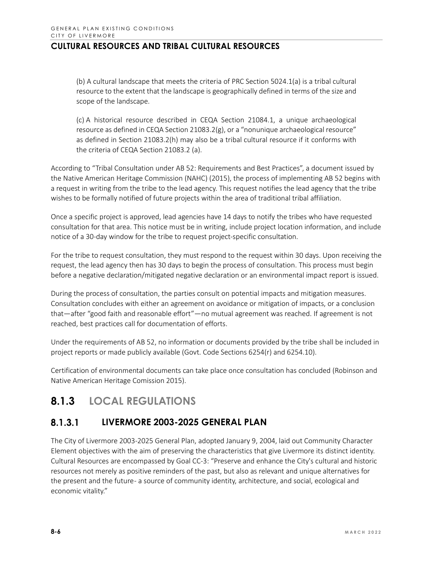(b) A cultural landscape that meets the criteria of PRC Section 5024.1(a) is a tribal cultural resource to the extent that the landscape is geographically defined in terms of the size and scope of the landscape.

(c) A historical resource described in CEQA Section 21084.1, a unique archaeological resource as defined in CEQA Section 21083.2(g), or a "nonunique archaeological resource" as defined in Section 21083.2(h) may also be a tribal cultural resource if it conforms with the criteria of CEQA Section 21083.2 (a).

According to "Tribal Consultation under AB 52: Requirements and Best Practices", a document issued by the Native American Heritage Commission (NAHC) (2015), the process of implementing AB 52 begins with a request in writing from the tribe to the lead agency. This request notifies the lead agency that the tribe wishes to be formally notified of future projects within the area of traditional tribal affiliation.

Once a specific project is approved, lead agencies have 14 days to notify the tribes who have requested consultation for that area. This notice must be in writing, include project location information, and include notice of a 30-day window for the tribe to request project-specific consultation.

For the tribe to request consultation, they must respond to the request within 30 days. Upon receiving the request, the lead agency then has 30 days to begin the process of consultation. This process must begin before a negative declaration/mitigated negative declaration or an environmental impact report is issued.

During the process of consultation, the parties consult on potential impacts and mitigation measures. Consultation concludes with either an agreement on avoidance or mitigation of impacts, or a conclusion that—after "good faith and reasonable effort"—no mutual agreement was reached. If agreement is not reached, best practices call for documentation of efforts.

Under the requirements of AB 52, no information or documents provided by the tribe shall be included in project reports or made publicly available (Govt. Code Sections 6254(r) and 6254.10).

Certification of environmental documents can take place once consultation has concluded (Robinson and Native American Heritage Comission 2015).

# **8.1.3 LOCAL REGULATIONS**

#### $8.1.3.1$ **LIVERMORE 2003-2025 GENERAL PLAN**

The City of Livermore 2003-2025 General Plan, adopted January 9, 2004, laid out Community Character Element objectives with the aim of preserving the characteristics that give Livermore its distinct identity. Cultural Resources are encompassed by Goal CC-3: "Preserve and enhance the City's cultural and historic resources not merely as positive reminders of the past, but also as relevant and unique alternatives for the present and the future- a source of community identity, architecture, and social, ecological and economic vitality."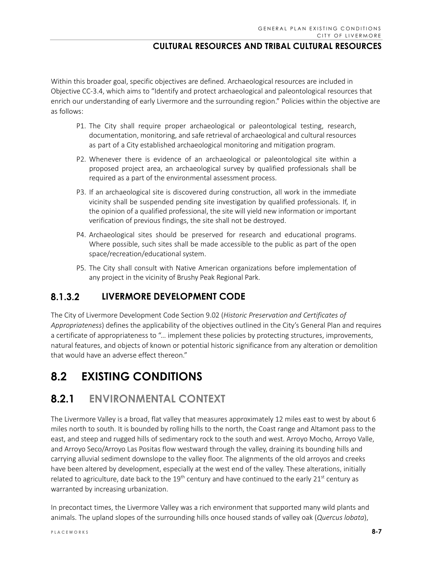Within this broader goal, specific objectives are defined. Archaeological resources are included in Objective CC-3.4, which aims to "Identify and protect archaeological and paleontological resources that enrich our understanding of early Livermore and the surrounding region." Policies within the objective are as follows:

- P1. The City shall require proper archaeological or paleontological testing, research, documentation, monitoring, and safe retrieval of archaeological and cultural resources as part of a City established archaeological monitoring and mitigation program.
- P2. Whenever there is evidence of an archaeological or paleontological site within a proposed project area, an archaeological survey by qualified professionals shall be required as a part of the environmental assessment process.
- P3. If an archaeological site is discovered during construction, all work in the immediate vicinity shall be suspended pending site investigation by qualified professionals. If, in the opinion of a qualified professional, the site will yield new information or important verification of previous findings, the site shall not be destroyed.
- P4. Archaeological sites should be preserved for research and educational programs. Where possible, such sites shall be made accessible to the public as part of the open space/recreation/educational system.
- P5. The City shall consult with Native American organizations before implementation of any project in the vicinity of Brushy Peak Regional Park.

#### 8.1.3.2 **LIVERMORE DEVELOPMENT CODE**

The City of Livermore Development Code Section 9.02 (*Historic Preservation and Certificates of Appropriateness*) defines the applicability of the objectives outlined in the City's General Plan and requires a certificate of appropriateness to "… implement these policies by protecting structures, improvements, natural features, and objects of known or potential historic significance from any alteration or demolition that would have an adverse effect thereon."

# **8.2 EXISTING CONDITIONS**

# **8.2.1 ENVIRONMENTAL CONTEXT**

The Livermore Valley is a broad, flat valley that measures approximately 12 miles east to west by about 6 miles north to south. It is bounded by rolling hills to the north, the Coast range and Altamont pass to the east, and steep and rugged hills of sedimentary rock to the south and west. Arroyo Mocho, Arroyo Valle, and Arroyo Seco/Arroyo Las Positas flow westward through the valley, draining its bounding hills and carrying alluvial sediment downslope to the valley floor. The alignments of the old arroyos and creeks have been altered by development, especially at the west end of the valley. These alterations, initially related to agriculture, date back to the  $19<sup>th</sup>$  century and have continued to the early 21 $<sup>st</sup>$  century as</sup> warranted by increasing urbanization.

In precontact times, the Livermore Valley was a rich environment that supported many wild plants and animals. The upland slopes of the surrounding hills once housed stands of valley oak (*Quercus lobata*),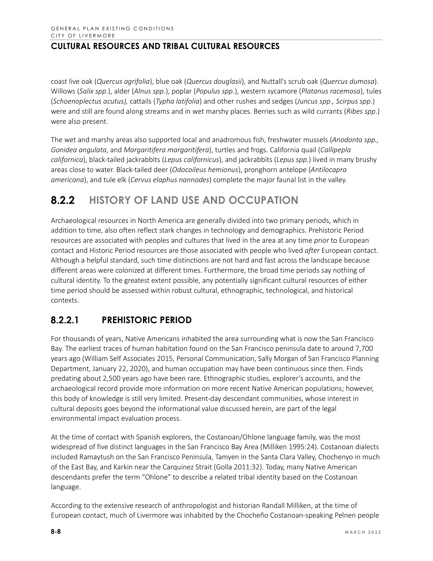coast live oak (*Quercus agrifolia*), blue oak (*Quercus douglasii*), and Nuttall's scrub oak (*Quercus dumosa*). Willows (*Salix spp*.), alder (*Alnus spp.*), poplar (*Populus spp*.), western sycamore (*Platanus racemosa*), tules (*Schoenoplectus acutus),* cattails (*Typha latifolia*) and other rushes and sedges (*Juncus spp., Scirpus spp*.) were and still are found along streams and in wet marshy places. Berries such as wild currants (*Ribes spp*.) were also present.

The wet and marshy areas also supported local and anadromous fish, freshwater mussels (*Anodonta spp., Gonidea angulata*, and *Margaritifera margaritifera*), turtles and frogs. California quail (*Callipepla californica*), black-tailed jackrabbits (*Lepus californicus*), and jackrabbits (*Lepus spp*.) lived in many brushy areas close to water. Black-tailed deer (*Odocoileus hemionus*), pronghorn antelope (*Antilocapra americana*), and tule elk (*Cervus elaphus nannodes*) complete the major faunal list in the valley.

# **8.2.2 HISTORY OF LAND USE AND OCCUPATION**

Archaeological resources in North America are generally divided into two primary periods, which in addition to time, also often reflect stark changes in technology and demographics. Prehistoric Period resources are associated with peoples and cultures that lived in the area at any time *prior* to European contact and Historic Period resources are those associated with people who lived *after* European contact. Although a helpful standard, such time distinctions are not hard and fast across the landscape because different areas were colonized at different times. Furthermore, the broad time periods say nothing of cultural identity. To the greatest extent possible, any potentially significant cultural resources of either time period should be assessed within robust cultural, ethnographic, technological, and historical contexts.

#### $8.2.2.1$ **PREHISTORIC PERIOD**

For thousands of years, Native Americans inhabited the area surrounding what is now the San Francisco Bay. The earliest traces of human habitation found on the San Francisco peninsula date to around 7,700 years ago (William Self Associates 2015, Personal Communication, Sally Morgan of San Francisco Planning Department, January 22, 2020), and human occupation may have been continuous since then. Finds predating about 2,500 years ago have been rare. Ethnographic studies, explorer's accounts, and the archaeological record provide more information on more recent Native American populations; however, this body of knowledge is still very limited. Present-day descendant communities, whose interest in cultural deposits goes beyond the informational value discussed herein, are part of the legal environmental impact evaluation process.

At the time of contact with Spanish explorers, the Costanoan/Ohlone language family, was the most widespread of five distinct languages in the San Francisco Bay Area (Milliken 1995:24). Costanoan dialects included Ramaytush on the San Francisco Peninsula, Tamyen in the Santa Clara Valley, Chochenyo in much of the East Bay, and Karkin near the Carquinez Strait (Golla 2011:32). Today, many Native American descendants prefer the term "Ohlone" to describe a related tribal identity based on the Costanoan language.

According to the extensive research of anthropologist and historian Randall Milliken, at the time of European contact, much of Livermore was inhabited by the Chocheño Costanoan-speaking Pelnen people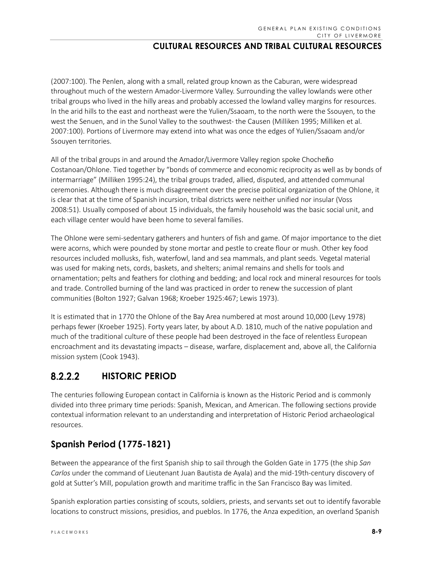(2007:100). The Penlen, along with a small, related group known as the Caburan, were widespread throughout much of the western Amador-Livermore Valley. Surrounding the valley lowlands were other tribal groups who lived in the hilly areas and probably accessed the lowland valley margins for resources. ln the arid hills to the east and northeast were the Yulien/Ssaoam, to the north were the Ssouyen, to the west the Senuen, and in the Sunol Valley to the southwest- the Causen (Milliken 1995; Milliken et al. 2007:100). Portions of Livermore may extend into what was once the edges of Yulien/Ssaoam and/or Ssouyen territories.

All of the tribal groups in and around the Amador/Livermore Valley region spoke Chocheño Costanoan/Ohlone. Tied together by "bonds of commerce and economic reciprocity as well as by bonds of intermarriage" (Milliken 1995:24), the tribal groups traded, allied, disputed, and attended communal ceremonies. Although there is much disagreement over the precise political organization of the Ohlone, it is clear that at the time of Spanish incursion, tribal districts were neither unified nor insular (Voss 2008:51). Usually composed of about 15 individuals, the family household was the basic social unit, and each village center would have been home to several families.

The Ohlone were semi-sedentary gatherers and hunters of fish and game. Of major importance to the diet were acorns, which were pounded by stone mortar and pestle to create flour or mush. Other key food resources included mollusks, fish, waterfowl, land and sea mammals, and plant seeds. Vegetal material was used for making nets, cords, baskets, and shelters; animal remains and shells for tools and ornamentation; pelts and feathers for clothing and bedding; and local rock and mineral resources for tools and trade. Controlled burning of the land was practiced in order to renew the succession of plant communities (Bolton 1927; Galvan 1968; Kroeber 1925:467; Lewis 1973).

It is estimated that in 1770 the Ohlone of the Bay Area numbered at most around 10,000 (Levy 1978) perhaps fewer (Kroeber 1925). Forty years later, by about A.D. 1810, much of the native population and much of the traditional culture of these people had been destroyed in the face of relentless European encroachment and its devastating impacts – disease, warfare, displacement and, above all, the California mission system (Cook 1943).

#### **HISTORIC PERIOD**  $8.2.2.2$

The centuries following European contact in California is known as the Historic Period and is commonly divided into three primary time periods: Spanish, Mexican, and American. The following sections provide contextual information relevant to an understanding and interpretation of Historic Period archaeological resources.

# **Spanish Period (1775-1821)**

Between the appearance of the first Spanish ship to sail through the Golden Gate in 1775 (the ship *San Carlos* under the command of Lieutenant Juan Bautista de Ayala) and the mid-19th-century discovery of gold at Sutter's Mill, population growth and maritime traffic in the San Francisco Bay was limited.

Spanish exploration parties consisting of scouts, soldiers, priests, and servants set out to identify favorable locations to construct missions, presidios, and pueblos. In 1776, the Anza expedition, an overland Spanish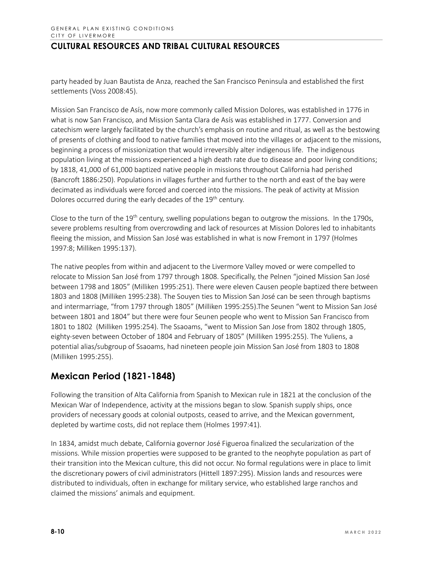party headed by Juan Bautista de Anza, reached the San Francisco Peninsula and established the first settlements (Voss 2008:45).

Mission San Francisco de Asís, now more commonly called Mission Dolores, was established in 1776 in what is now San Francisco, and Mission Santa Clara de Asís was established in 1777. Conversion and catechism were largely facilitated by the church's emphasis on routine and ritual, as well as the bestowing of presents of clothing and food to native families that moved into the villages or adjacent to the missions, beginning a process of missionization that would irreversibly alter indigenous life. The indigenous population living at the missions experienced a high death rate due to disease and poor living conditions; by 1818, 41,000 of 61,000 baptized native people in missions throughout California had perished (Bancroft 1886:250). Populations in villages further and further to the north and east of the bay were decimated as individuals were forced and coerced into the missions. The peak of activity at Mission Dolores occurred during the early decades of the 19<sup>th</sup> century.

Close to the turn of the 19<sup>th</sup> century, swelling populations began to outgrow the missions. In the 1790s, severe problems resulting from overcrowding and lack of resources at Mission Dolores led to inhabitants fleeing the mission, and Mission San José was established in what is now Fremont in 1797 (Holmes 1997:8; Milliken 1995:137).

The native peoples from within and adjacent to the Livermore Valley moved or were compelled to relocate to Mission San José from 1797 through 1808. Specifically, the Pelnen "joined Mission San José between 1798 and 1805" (Milliken 1995:251). There were eleven Causen people baptized there between 1803 and 1808 (Milliken 1995:238). The Souyen ties to Mission San José can be seen through baptisms and intermarriage, "from 1797 through 1805" (Milliken 1995:255).The Seunen "went to Mission San José between 1801 and 1804" but there were four Seunen people who went to Mission San Francisco from 1801 to 1802 (Milliken 1995:254). The Ssaoams, "went to Mission San Jose from 1802 through 1805, eighty-seven between October of 1804 and February of 1805" (Milliken 1995:255). The Yuliens, a potential alias/subgroup of Ssaoams, had nineteen people join Mission San José from 1803 to 1808 (Milliken 1995:255).

# **Mexican Period (1821-1848)**

Following the transition of Alta California from Spanish to Mexican rule in 1821 at the conclusion of the Mexican War of Independence, activity at the missions began to slow. Spanish supply ships, once providers of necessary goods at colonial outposts, ceased to arrive, and the Mexican government, depleted by wartime costs, did not replace them (Holmes 1997:41).

In 1834, amidst much debate, California governor José Figueroa finalized the secularization of the missions. While mission properties were supposed to be granted to the neophyte population as part of their transition into the Mexican culture, this did not occur. No formal regulations were in place to limit the discretionary powers of civil administrators (Hittell 1897:295). Mission lands and resources were distributed to individuals, often in exchange for military service, who established large ranchos and claimed the missions' animals and equipment.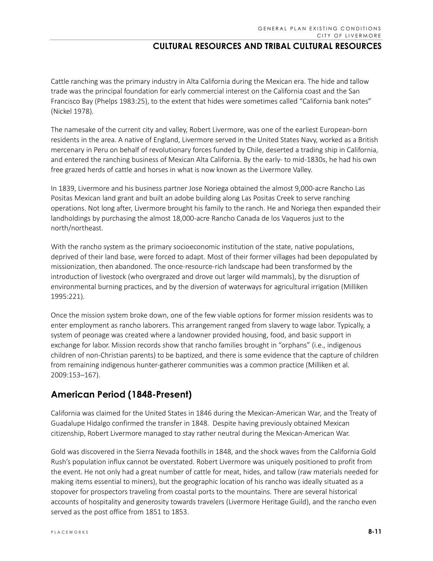Cattle ranching was the primary industry in Alta California during the Mexican era. The hide and tallow trade was the principal foundation for early commercial interest on the California coast and the San Francisco Bay (Phelps 1983:25), to the extent that hides were sometimes called "California bank notes" (Nickel 1978).

The namesake of the current city and valley, Robert Livermore, was one of the earliest European-born residents in the area. A native of England, Livermore served in the United States Navy, worked as a British mercenary in Peru on behalf of revolutionary forces funded by Chile, deserted a trading ship in California, and entered the ranching business of Mexican Alta California. By the early- to mid-1830s, he had his own free grazed herds of cattle and horses in what is now known as the Livermore Valley.

In 1839, Livermore and his business partner Jose Noriega obtained the almost 9,000-acre Rancho Las Positas Mexican land grant and built an adobe building along Las Positas Creek to serve ranching operations. Not long after, Livermore brought his family to the ranch. He and Noriega then expanded their landholdings by purchasing the almost 18,000-acre Rancho Canada de los Vaqueros just to the north/northeast.

With the rancho system as the primary socioeconomic institution of the state, native populations, deprived of their land base, were forced to adapt. Most of their former villages had been depopulated by missionization, then abandoned. The once-resource-rich landscape had been transformed by the introduction of livestock (who overgrazed and drove out larger wild mammals), by the disruption of environmental burning practices, and by the diversion of waterways for agricultural irrigation (Milliken 1995:221).

Once the mission system broke down, one of the few viable options for former mission residents was to enter employment as rancho laborers. This arrangement ranged from slavery to wage labor. Typically, a system of peonage was created where a landowner provided housing, food, and basic support in exchange for labor. Mission records show that rancho families brought in "orphans" (i.e., indigenous children of non-Christian parents) to be baptized, and there is some evidence that the capture of children from remaining indigenous hunter-gatherer communities was a common practice (Milliken et al. 2009:153–167).

# **American Period (1848-Present)**

California was claimed for the United States in 1846 during the Mexican-American War, and the Treaty of Guadalupe Hidalgo confirmed the transfer in 1848. Despite having previously obtained Mexican citizenship, Robert Livermore managed to stay rather neutral during the Mexican-American War.

Gold was discovered in the Sierra Nevada foothills in 1848, and the shock waves from the California Gold Rush's population influx cannot be overstated. Robert Livermore was uniquely positioned to profit from the event. He not only had a great number of cattle for meat, hides, and tallow (raw materials needed for making items essential to miners), but the geographic location of his rancho was ideally situated as a stopover for prospectors traveling from coastal ports to the mountains. There are several historical accounts of hospitality and generosity towards travelers (Livermore Heritage Guild), and the rancho even served as the post office from 1851 to 1853.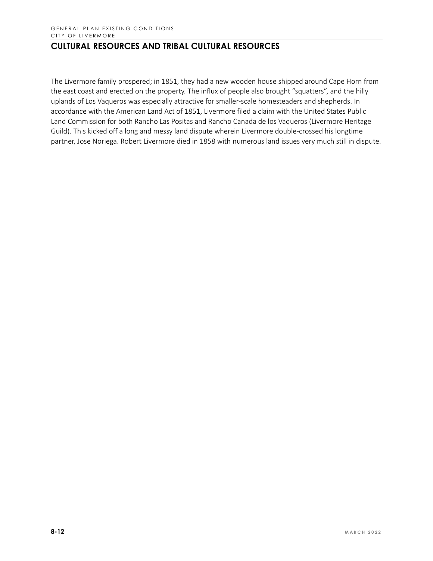The Livermore family prospered; in 1851, they had a new wooden house shipped around Cape Horn from the east coast and erected on the property. The influx of people also brought "squatters", and the hilly uplands of Los Vaqueros was especially attractive for smaller-scale homesteaders and shepherds. In accordance with the American Land Act of 1851, Livermore filed a claim with the United States Public Land Commission for both Rancho Las Positas and Rancho Canada de los Vaqueros (Livermore Heritage Guild). This kicked off a long and messy land dispute wherein Livermore double-crossed his longtime partner, Jose Noriega. Robert Livermore died in 1858 with numerous land issues very much still in dispute.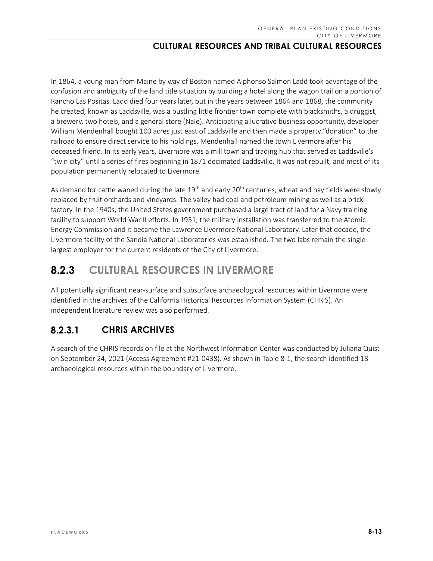In 1864, a young man from Maine by way of Boston named Alphonso Salmon Ladd took advantage of the confusion and ambiguity of the land title situation by building a hotel along the wagon trail on a portion of Rancho Las Positas. Ladd died four years later, but in the years between 1864 and 1868, the community he created, known as Laddsville, was a bustling little frontier town complete with blacksmiths, a druggist, a brewery, two hotels, and a general store (Nale). Anticipating a lucrative business opportunity, developer William Mendenhall bought 100 acres just east of Laddsville and then made a property "donation" to the railroad to ensure direct service to his holdings. Mendenhall named the town Livermore after his deceased friend. In its early years, Livermore was a mill town and trading hub that served as Laddsville's "twin city" until a series of fires beginning in 1871 decimated Laddsville. It was not rebuilt, and most of its population permanently relocated to Livermore.

As demand for cattle waned during the late  $19<sup>th</sup>$  and early 20<sup>th</sup> centuries, wheat and hay fields were slowly replaced by fruit orchards and vineyards. The valley had coal and petroleum mining as well as a brick factory. In the 1940s, the United States government purchased a large tract of land for a Navy training facility to support World War II efforts. In 1951, the military installation was transferred to the Atomic Energy Commission and it became the Lawrence Livermore National Laboratory. Later that decade, the Livermore facility of the Sandia National Laboratories was established. The two labs remain the single largest employer for the current residents of the City of Livermore.

# **8.2.3 CULTURAL RESOURCES IN LIVERMORE**

All potentially significant near-surface and subsurface archaeological resources within Livermore were identified in the archives of the California Historical Resources Information System (CHRIS). An independent literature review was also performed.

#### $8.2.3.1$ **CHRIS ARCHIVES**

A search of the CHRIS records on file at the Northwest Information Center was conducted by Juliana Quist on September 24, 2021 (Access Agreement #21-0438). As shown in Table 8-1, the search identified 18 archaeological resources within the boundary of Livermore.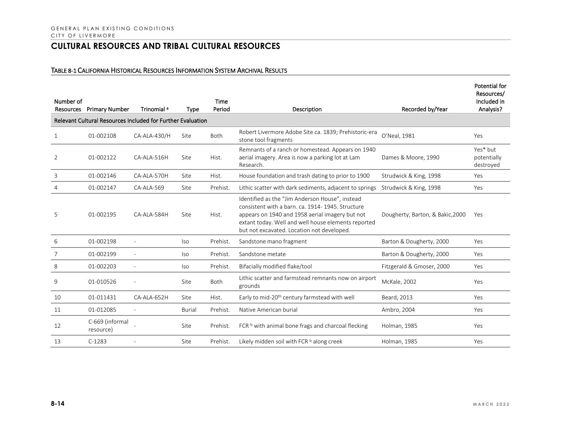### TABLE 8-1 CALIFORNIA HISTORICAL RESOURCES INFORMATION SYSTEM ARCHIVAL RESULTS

| Number of<br>Resources | <b>Primary Number</b>                                       | Trinomial <sup>a</sup> | <b>Type</b>   | <b>Time</b><br>Period | Description                                                                                                                                                                                                                                                 | Recorded by/Year                 | Potential for<br>Resources/<br>Included in<br>Analysis? |
|------------------------|-------------------------------------------------------------|------------------------|---------------|-----------------------|-------------------------------------------------------------------------------------------------------------------------------------------------------------------------------------------------------------------------------------------------------------|----------------------------------|---------------------------------------------------------|
|                        | Relevant Cultural Resources Included for Further Evaluation |                        |               |                       |                                                                                                                                                                                                                                                             |                                  |                                                         |
| 1                      | 01-002108                                                   | CA-ALA-430/H           | Site          | <b>Both</b>           | Robert Livermore Adobe Site ca. 1839; Prehistoric-era<br>stone tool fragments                                                                                                                                                                               | O'Neal, 1981                     | Yes                                                     |
| $\overline{2}$         | 01-002122                                                   | CA-ALA-516H            | Site          | Hist.                 | Remnants of a ranch or homestead. Appears on 1940<br>aerial imagery. Area is now a parking lot at Lam<br>Research.                                                                                                                                          | Dames & Moore, 1990              | Yes* but<br>potentially<br>destroyed                    |
| 3                      | 01-002146                                                   | CA-ALA-570H            | Site          | Hist.                 | House foundation and trash dating to prior to 1900                                                                                                                                                                                                          | Strudwick & King, 1998           | Yes                                                     |
| 4                      | 01-002147                                                   | CA-ALA-569             | Site          | Prehist.              | Lithic scatter with dark sediments, adjacent to springs                                                                                                                                                                                                     | Strudwick & King, 1998           | Yes                                                     |
| 5                      | 01-002195                                                   | CA-ALA-584H            | Site          | Hist.                 | Identified as the "Jim Anderson House", instead<br>consistent with a barn. ca. 1914-1945. Structure<br>appears on 1940 and 1958 aerial imagery but not<br>extant today. Well and well house elements reported<br>but not excavated. Location not developed. | Dougherty, Barton, & Bakic, 2000 | Yes                                                     |
| 6                      | 01-002198                                                   |                        | <b>Iso</b>    | Prehist.              | Sandstone mano fragment                                                                                                                                                                                                                                     | Barton & Dougherty, 2000         | Yes                                                     |
| 7                      | 01-002199                                                   |                        | lso           | Prehist.              | Sandstone metate                                                                                                                                                                                                                                            | Barton & Dougherty, 2000         | Yes                                                     |
| 8                      | 01-002203                                                   |                        | <b>Iso</b>    | Prehist.              | Bifacially modified flake/tool                                                                                                                                                                                                                              | Fitzgerald & Gmoser, 2000        | Yes                                                     |
| 9                      | 01-010526                                                   |                        | Site          | <b>Both</b>           | Lithic scatter and farmstead remnants now on airport<br>grounds                                                                                                                                                                                             | <b>McKale</b> , 2002             | Yes                                                     |
| 10                     | 01-011431                                                   | CA-ALA-652H            | Site          | Hist.                 | Early to mid-20 <sup>th</sup> century farmstead with well                                                                                                                                                                                                   | Beard, 2013                      | Yes                                                     |
| 11                     | 01-012085                                                   | $\overline{a}$         | <b>Burial</b> | Prehist.              | Native American burial                                                                                                                                                                                                                                      | Ambro, 2004                      | Yes                                                     |
| 12                     | C-669 (informal<br>resource)                                |                        | Site          | Prehist.              | FCR b with animal bone frags and charcoal flecking                                                                                                                                                                                                          | Holman, 1985                     | Yes                                                     |
| 13                     | $C-1283$                                                    |                        | Site          | Prehist.              | Likely midden soil with FCR $b$ along creek                                                                                                                                                                                                                 | <b>Holman, 1985</b>              | Yes                                                     |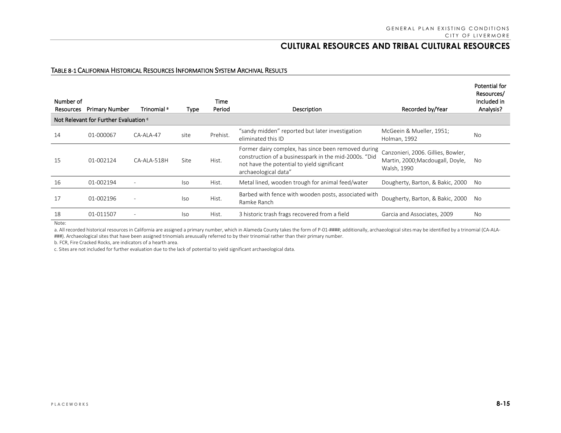### TABLE 8-1 CALIFORNIA HISTORICAL RESOURCES INFORMATION SYSTEM ARCHIVAL RESULTS

| Number of<br>Resources | <b>Primary Number</b><br>Not Relevant for Further Evaluation c | Trinomial <sup>a</sup> | Type | Time<br>Period | Description                                                                                                                                                                         | Recorded by/Year                                                                      | Potential for<br>Resources/<br>Included in<br>Analysis? |
|------------------------|----------------------------------------------------------------|------------------------|------|----------------|-------------------------------------------------------------------------------------------------------------------------------------------------------------------------------------|---------------------------------------------------------------------------------------|---------------------------------------------------------|
|                        |                                                                |                        |      |                |                                                                                                                                                                                     |                                                                                       |                                                         |
| 14                     | 01-000067                                                      | $CA-ALA-47$            | site | Prehist.       | "sandy midden" reported but later investigation<br>eliminated this ID                                                                                                               | McGeein & Mueller, 1951;<br>Holman, 1992                                              | <b>No</b>                                               |
| 15                     | 01-002124                                                      | CA-ALA-518H            | Site | Hist.          | Former dairy complex, has since been removed during<br>construction of a businesspark in the mid-2000s. "Did<br>not have the potential to yield significant<br>archaeological data" | Canzonieri, 2006. Gillies, Bowler,<br>Martin, 2000; Macdougall, Doyle,<br>Walsh, 1990 | No                                                      |
| 16                     | 01-002194                                                      |                        | lso  | Hist.          | Metal lined, wooden trough for animal feed/water                                                                                                                                    | Dougherty, Barton, & Bakic, 2000                                                      | No.                                                     |
| 17                     | 01-002196                                                      |                        | lso  | Hist.          | Barbed with fence with wooden posts, associated with<br>Ramke Ranch                                                                                                                 | Dougherty, Barton, & Bakic, 2000                                                      | No.                                                     |
| 18                     | 01-011507                                                      |                        | lso. | Hist.          | 3 historic trash frags recovered from a field                                                                                                                                       | Garcia and Associates, 2009                                                           | No                                                      |

Note:

a. All recorded historical resources in California are assigned a primary number, which in Alameda County takes the form of P-01-####; additionally, archaeological sites may be identified by a trinomial (CA-ALA-###). Archaeological sites that have been assigned trinomials areusually referred to by their trinomial rather than their primary number.

b. FCR, Fire Cracked Rocks, are indicators of a hearth area.

c. Sites are not included for further evaluation due to the lack of potential to yield significant archaeological data.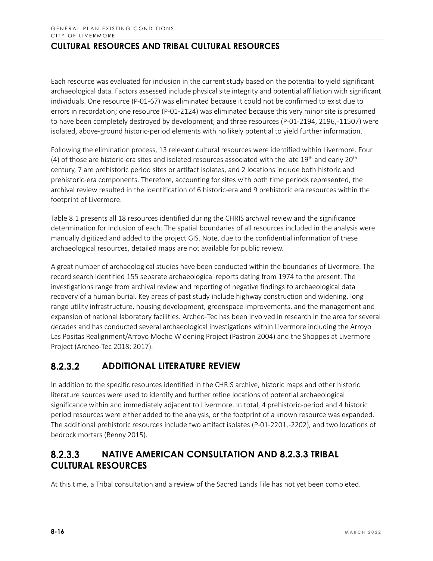Each resource was evaluated for inclusion in the current study based on the potential to yield significant archaeological data. Factors assessed include physical site integrity and potential affiliation with significant individuals. One resource (P-01-67) was eliminated because it could not be confirmed to exist due to errors in recordation; one resource (P-01-2124) was eliminated because this very minor site is presumed to have been completely destroyed by development; and three resources (P-01-2194, 2196,-11507) were isolated, above-ground historic-period elements with no likely potential to yield further information.

Following the elimination process, 13 relevant cultural resources were identified within Livermore. Four (4) of those are historic-era sites and isolated resources associated with the late  $19<sup>th</sup>$  and early  $20<sup>th</sup>$ century, 7 are prehistoric period sites or artifact isolates, and 2 locations include both historic and prehistoric-era components. Therefore, accounting for sites with both time periods represented, the archival review resulted in the identification of 6 historic-era and 9 prehistoric era resources within the footprint of Livermore.

Table 8.1 presents all 18 resources identified during the CHRIS archival review and the significance determination for inclusion of each. The spatial boundaries of all resources included in the analysis were manually digitized and added to the project GIS. Note, due to the confidential information of these archaeological resources, detailed maps are not available for public review.

A great number of archaeological studies have been conducted within the boundaries of Livermore. The record search identified 155 separate archaeological reports dating from 1974 to the present. The investigations range from archival review and reporting of negative findings to archaeological data recovery of a human burial. Key areas of past study include highway construction and widening, long range utility infrastructure, housing development, greenspace improvements, and the management and expansion of national laboratory facilities. Archeo-Tec has been involved in research in the area for several decades and has conducted several archaeological investigations within Livermore including the Arroyo Las Positas Realignment/Arroyo Mocho Widening Project (Pastron 2004) and the Shoppes at Livermore Project (Archeo-Tec 2018; 2017).

#### $8.2.3.2$ **ADDITIONAL LITERATURE REVIEW**

In addition to the specific resources identified in the CHRIS archive, historic maps and other historic literature sources were used to identify and further refine locations of potential archaeological significance within and immediately adjacent to Livermore. In total, 4 prehistoric-period and 4 historic period resources were either added to the analysis, or the footprint of a known resource was expanded. The additional prehistoric resources include two artifact isolates (P-01-2201, -2202), and two locations of bedrock mortars (Benny 2015).

#### **NATIVE AMERICAN CONSULTATION AND 8.2.3.3 TRIBAL**   $8.2.3.3$ **CULTURAL RESOURCES**

At this time, a Tribal consultation and a review of the Sacred Lands File has not yet been completed.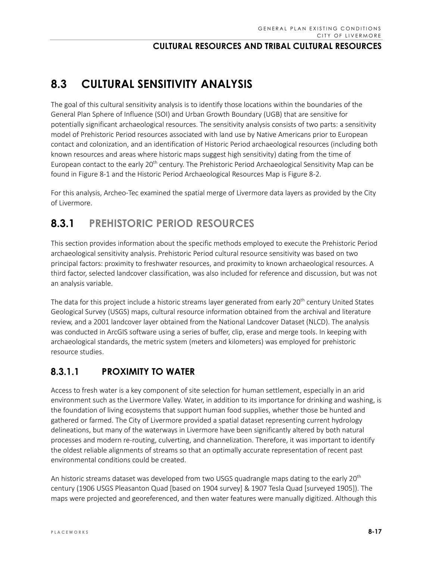# **8.3 CULTURAL SENSITIVITY ANALYSIS**

The goal of this cultural sensitivity analysis is to identify those locations within the boundaries of the General Plan Sphere of Influence (SOI) and Urban Growth Boundary (UGB) that are sensitive for potentially significant archaeological resources. The sensitivity analysis consists of two parts: a sensitivity model of Prehistoric Period resources associated with land use by Native Americans prior to European contact and colonization, and an identification of Historic Period archaeological resources (including both known resources and areas where historic maps suggest high sensitivity) dating from the time of European contact to the early 20<sup>th</sup> century. The Prehistoric Period Archaeological Sensitivity Map can be found in Figure 8-1 and the Historic Period Archaeological Resources Map is Figure 8-2.

For this analysis, Archeo-Tec examined the spatial merge of Livermore data layers as provided by the City of Livermore.

# **8.3.1 PREHISTORIC PERIOD RESOURCES**

This section provides information about the specific methods employed to execute the Prehistoric Period archaeological sensitivity analysis. Prehistoric Period cultural resource sensitivity was based on two principal factors: proximity to freshwater resources, and proximity to known archaeological resources. A third factor, selected landcover classification, was also included for reference and discussion, but was not an analysis variable.

The data for this project include a historic streams layer generated from early 20<sup>th</sup> century United States Geological Survey (USGS) maps, cultural resource information obtained from the archival and literature review, and a 2001 landcover layer obtained from the National Landcover Dataset (NLCD). The analysis was conducted in ArcGIS software using a series of buffer, clip, erase and merge tools. In keeping with archaeological standards, the metric system (meters and kilometers) was employed for prehistoric resource studies.

#### **PROXIMITY TO WATER**  $8.3.1.1$

Access to fresh water is a key component of site selection for human settlement, especially in an arid environment such as the Livermore Valley. Water, in addition to its importance for drinking and washing, is the foundation of living ecosystems that support human food supplies, whether those be hunted and gathered or farmed. The City of Livermore provided a spatial dataset representing current hydrology delineations, but many of the waterways in Livermore have been significantly altered by both natural processes and modern re-routing, culverting, and channelization. Therefore, it was important to identify the oldest reliable alignments of streams so that an optimally accurate representation of recent past environmental conditions could be created.

An historic streams dataset was developed from two USGS quadrangle maps dating to the early 20<sup>th</sup> century (1906 USGS Pleasanton Quad [based on 1904 survey] & 1907 Tesla Quad [surveyed 1905]). The maps were projected and georeferenced, and then water features were manually digitized. Although this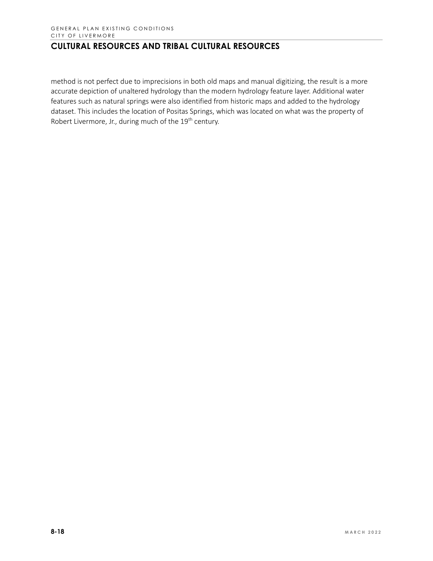method is not perfect due to imprecisions in both old maps and manual digitizing, the result is a more accurate depiction of unaltered hydrology than the modern hydrology feature layer. Additional water features such as natural springs were also identified from historic maps and added to the hydrology dataset. This includes the location of Positas Springs, which was located on what was the property of Robert Livermore, Jr., during much of the 19<sup>th</sup> century.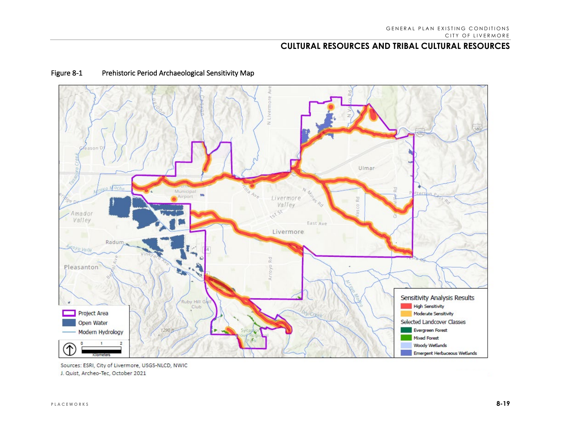

### Figure 8-1 Prehistoric Period Archaeological Sensitivity Map

Sources: ESRI, City of Livermore, USGS-NLCD, NWIC J. Quist, Archeo-Tec, October 2021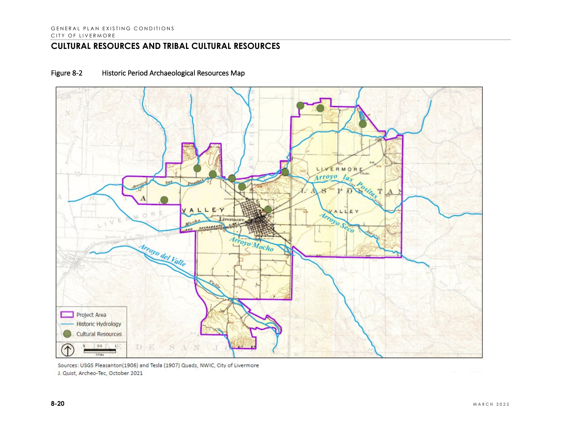### Figure 8-2 Historic Period Archaeological Resources Map



Sources: USGS Pleasanton(1906) and Tesla (1907) Quads, NWIC, City of Livermore J. Quist, Archeo-Tec, October 2021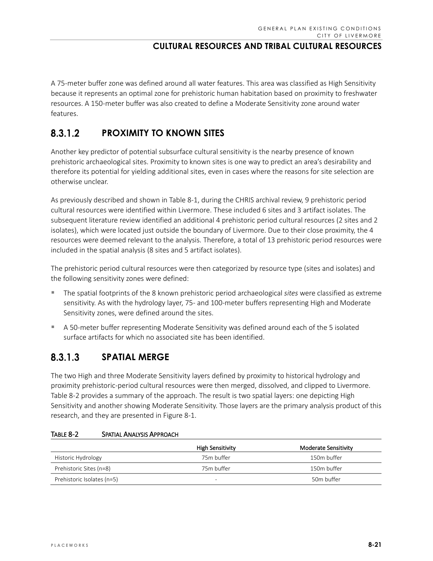A 75-meter buffer zone was defined around all water features. This area was classified as High Sensitivity because it represents an optimal zone for prehistoric human habitation based on proximity to freshwater resources. A 150-meter buffer was also created to define a Moderate Sensitivity zone around water features.

#### 8.3.1.2 **PROXIMITY TO KNOWN SITES**

Another key predictor of potential subsurface cultural sensitivity is the nearby presence of known prehistoric archaeological sites. Proximity to known sites is one way to predict an area's desirability and therefore its potential for yielding additional sites, even in cases where the reasons for site selection are otherwise unclear.

As previously described and shown in Table 8-1, during the CHRIS archival review, 9 prehistoric period cultural resources were identified within Livermore. These included 6 sites and 3 artifact isolates. The subsequent literature review identified an additional 4 prehistoric period cultural resources (2 sites and 2 isolates), which were located just outside the boundary of Livermore. Due to their close proximity, the 4 resources were deemed relevant to the analysis. Therefore, a total of 13 prehistoric period resources were included in the spatial analysis (8 sites and 5 artifact isolates).

The prehistoric period cultural resources were then categorized by resource type (sites and isolates) and the following sensitivity zones were defined:

- The spatial footprints of the 8 known prehistoric period archaeological *sites* were classified as extreme sensitivity. As with the hydrology layer, 75- and 100-meter buffers representing High and Moderate Sensitivity zones, were defined around the sites.
- A 50-meter buffer representing Moderate Sensitivity was defined around each of the 5 isolated surface artifacts for which no associated site has been identified.

#### $8.3.1.3$ **SPATIAL MERGE**

The two High and three Moderate Sensitivity layers defined by proximity to historical hydrology and proximity prehistoric-period cultural resources were then merged, dissolved, and clipped to Livermore. Table 8-2 provides a summary of the approach. The result is two spatial layers: one depicting High Sensitivity and another showing Moderate Sensitivity. Those layers are the primary analysis product of this research, and they are presented in Figure 8-1.

### TABLE 8-2 SPATIAL ANALYSIS APPROACH

|                            | <b>High Sensitivity</b> | Moderate Sensitivity |
|----------------------------|-------------------------|----------------------|
| Historic Hydrology         | 75m buffer              | 150m buffer          |
| Prehistoric Sites (n=8)    | 75m buffer              | 150m buffer          |
| Prehistoric Isolates (n=5) | -                       | 50m buffer           |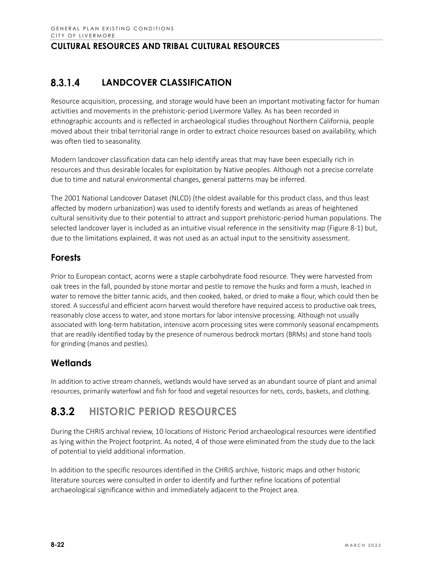#### $8.3.1.4$ **LANDCOVER CLASSIFICATION**

Resource acquisition, processing, and storage would have been an important motivating factor for human activities and movements in the prehistoric-period Livermore Valley. As has been recorded in ethnographic accounts and is reflected in archaeological studies throughout Northern California, people moved about their tribal territorial range in order to extract choice resources based on availability, which was often tied to seasonality.

Modern landcover classification data can help identify areas that may have been especially rich in resources and thus desirable locales for exploitation by Native peoples. Although not a precise correlate due to time and natural environmental changes, general patterns may be inferred.

The 2001 National Landcover Dataset (NLCD) (the oldest available for this product class, and thus least affected by modern urbanization) was used to identify forests and wetlands as areas of heightened cultural sensitivity due to their potential to attract and support prehistoric-period human populations. The selected landcover layer is included as an intuitive visual reference in the sensitivity map (Figure 8-1) but, due to the limitations explained, it was not used as an actual input to the sensitivity assessment.

# **Forests**

Prior to European contact, acorns were a staple carbohydrate food resource. They were harvested from oak trees in the fall, pounded by stone mortar and pestle to remove the husks and form a mush, leached in water to remove the bitter tannic acids, and then cooked, baked, or dried to make a flour, which could then be stored. A successful and efficient acorn harvest would therefore have required access to productive oak trees, reasonably close access to water, and stone mortars for labor intensive processing. Although not usually associated with long-term habitation, intensive acorn processing sites were commonly seasonal encampments that are readily identified today by the presence of numerous bedrock mortars (BRMs) and stone hand tools for grinding (manos and pestles).

# **Wetlands**

In addition to active stream channels, wetlands would have served as an abundant source of plant and animal resources, primarily waterfowl and fish for food and vegetal resources for nets, cords, baskets, and clothing.

# **8.3.2 HISTORIC PERIOD RESOURCES**

During the CHRIS archival review, 10 locations of Historic Period archaeological resources were identified as lying within the Project footprint. As noted, 4 of those were eliminated from the study due to the lack of potential to yield additional information.

In addition to the specific resources identified in the CHRIS archive, historic maps and other historic literature sources were consulted in order to identify and further refine locations of potential archaeological significance within and immediately adjacent to the Project area.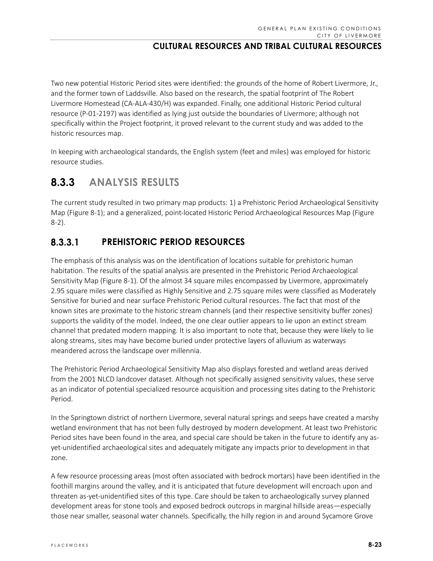Two new potential Historic Period sites were identified: the grounds of the home of Robert Livermore, Jr., and the former town of Laddsville. Also based on the research, the spatial footprint of The Robert Livermore Homestead (CA-ALA-430/H) was expanded. Finally, one additional Historic Period cultural resource (P-01-2197) was identified as lying just outside the boundaries of Livermore; although not specifically within the Project footprint, it proved relevant to the current study and was added to the historic resources map.

In keeping with archaeological standards, the English system (feet and miles) was employed for historic resource studies.

# **8.3.3 ANALYSIS RESULTS**

The current study resulted in two primary map products: 1) a Prehistoric Period Archaeological Sensitivity Map (Figure 8-1); and a generalized, point-located Historic Period Archaeological Resources Map (Figure 8-2).

#### $8.3.3.1$ **PREHISTORIC PERIOD RESOURCES**

The emphasis of this analysis was on the identification of locations suitable for prehistoric human habitation. The results of the spatial analysis are presented in the Prehistoric Period Archaeological Sensitivity Map (Figure 8-1). Of the almost 34 square miles encompassed by Livermore, approximately 2.95 square miles were classified as Highly Sensitive and 2.75 square miles were classified as Moderately Sensitive for buried and near surface Prehistoric Period cultural resources. The fact that most of the known sites are proximate to the historic stream channels (and their respective sensitivity buffer zones) supports the validity of the model. Indeed, the one clear outlier appears to lie upon an extinct stream channel that predated modern mapping. It is also important to note that, because they were likely to lie along streams, sites may have become buried under protective layers of alluvium as waterways meandered across the landscape over millennia.

The Prehistoric Period Archaeological Sensitivity Map also displays forested and wetland areas derived from the 2001 NLCD landcover dataset. Although not specifically assigned sensitivity values, these serve as an indicator of potential specialized resource acquisition and processing sites dating to the Prehistoric Period.

In the Springtown district of northern Livermore, several natural springs and seeps have created a marshy wetland environment that has not been fully destroyed by modern development. At least two Prehistoric Period sites have been found in the area, and special care should be taken in the future to identify any asyet-unidentified archaeological sites and adequately mitigate any impacts prior to development in that zone.

A few resource processing areas (most often associated with bedrock mortars) have been identified in the foothill margins around the valley, and it is anticipated that future development will encroach upon and threaten as-yet-unidentified sites of this type. Care should be taken to archaeologically survey planned development areas for stone tools and exposed bedrock outcrops in marginal hillside areas—especially those near smaller, seasonal water channels. Specifically, the hilly region in and around Sycamore Grove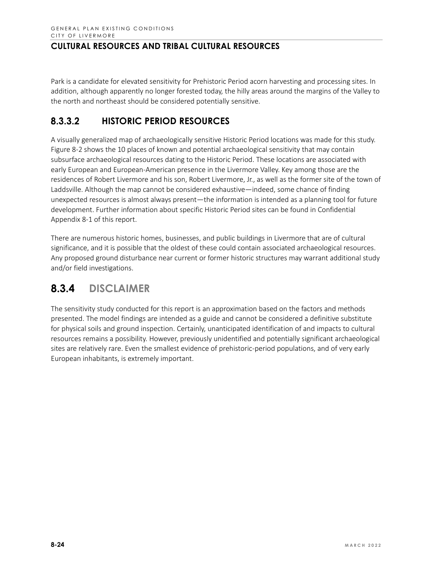Park is a candidate for elevated sensitivity for Prehistoric Period acorn harvesting and processing sites. In addition, although apparently no longer forested today, the hilly areas around the margins of the Valley to the north and northeast should be considered potentially sensitive.

#### 8.3.3.2 **HISTORIC PERIOD RESOURCES**

A visually generalized map of archaeologically sensitive Historic Period locations was made for this study. Figure 8-2 shows the 10 places of known and potential archaeological sensitivity that may contain subsurface archaeological resources dating to the Historic Period. These locations are associated with early European and European-American presence in the Livermore Valley. Key among those are the residences of Robert Livermore and his son, Robert Livermore, Jr., as well as the former site of the town of Laddsville. Although the map cannot be considered exhaustive—indeed, some chance of finding unexpected resources is almost always present—the information is intended as a planning tool for future development. Further information about specific Historic Period sites can be found in Confidential Appendix 8-1 of this report.

There are numerous historic homes, businesses, and public buildings in Livermore that are of cultural significance, and it is possible that the oldest of these could contain associated archaeological resources. Any proposed ground disturbance near current or former historic structures may warrant additional study and/or field investigations.

# **8.3.4 DISCLAIMER**

The sensitivity study conducted for this report is an approximation based on the factors and methods presented. The model findings are intended as a guide and cannot be considered a definitive substitute for physical soils and ground inspection. Certainly, unanticipated identification of and impacts to cultural resources remains a possibility. However, previously unidentified and potentially significant archaeological sites are relatively rare. Even the smallest evidence of prehistoric-period populations, and of very early European inhabitants, is extremely important.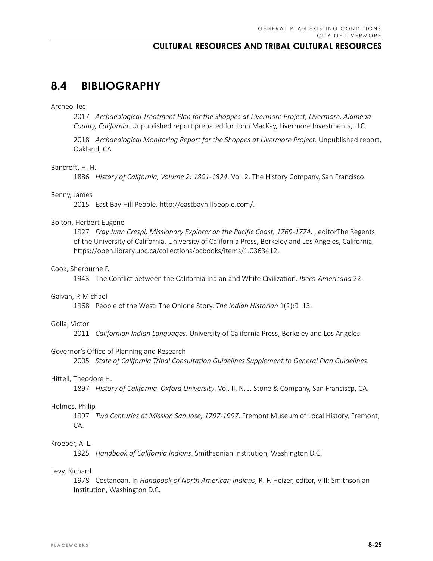# **8.4 BIBLIOGRAPHY**

#### Archeo-Tec

2017 *Archaeological Treatment Plan for the Shoppes at Livermore Project, Livermore, Alameda County, California*. Unpublished report prepared for John MacKay, Livermore Investments, LLC.

2018 *Archaeological Monitoring Report for the Shoppes at Livermore Project*. Unpublished report, Oakland, CA.

#### Bancroft, H. H.

1886 *History of California, Volume 2: 1801-1824*. Vol. 2. The History Company, San Francisco.

#### Benny, James

2015 East Bay Hill People. http://eastbayhillpeople.com/.

#### Bolton, Herbert Eugene

1927 *Fray Juan Crespi, Missionary Explorer on the Pacific Coast, 1769-1774*. , editorThe Regents of the University of California. University of California Press, Berkeley and Los Angeles, California. https://open.library.ubc.ca/collections/bcbooks/items/1.0363412.

### Cook, Sherburne F.

1943 The Conflict between the California Indian and White Civilization. *Ibero-Americana* 22.

#### Galvan, P. Michael

1968 People of the West: The Ohlone Story. *The Indian Historian* 1(2):9–13.

#### Golla, Victor

2011 *Californian Indian Languages*. University of California Press, Berkeley and Los Angeles.

#### Governor's Office of Planning and Research

2005 *State of California Tribal Consultation Guidelines Supplement to General Plan Guidelines*.

#### Hittell, Theodore H.

1897 *History of California*. *Oxford University*. Vol. II. N. J. Stone & Company, San Franciscp, CA.

#### Holmes, Philip

1997 *Two Centuries at Mission San Jose, 1797-1997*. Fremont Museum of Local History, Fremont, CA.

### Kroeber, A. L.

1925 *Handbook of California Indians*. Smithsonian Institution, Washington D.C.

#### Levy, Richard

1978 Costanoan. In *Handbook of North American Indians*, R. F. Heizer, editor, VIII: Smithsonian Institution, Washington D.C.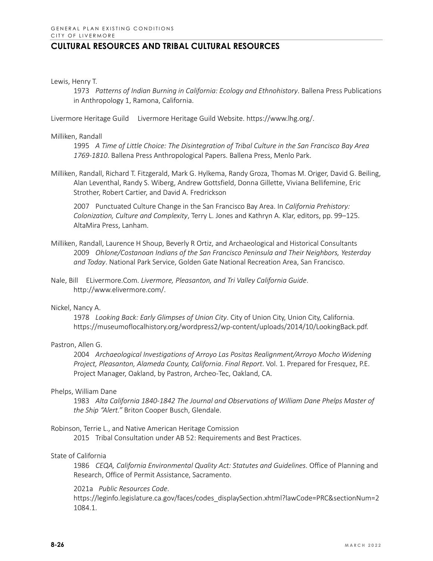Lewis, Henry T.

1973 *Patterns of Indian Burning in California: Ecology and Ethnohistory*. Ballena Press Publications in Anthropology 1, Ramona, California.

Livermore Heritage Guild Livermore Heritage Guild Website. https://www.lhg.org/.

### Milliken, Randall

1995 *A Time of Little Choice: The Disintegration of Tribal Culture in the San Francisco Bay Area 1769-1810*. Ballena Press Anthropological Papers. Ballena Press, Menlo Park.

Milliken, Randall, Richard T. Fitzgerald, Mark G. Hylkema, Randy Groza, Thomas M. Origer, David G. Beiling, Alan Leventhal, Randy S. Wiberg, Andrew Gottsfield, Donna Gillette, Viviana Bellifemine, Eric Strother, Robert Cartier, and David A. Fredrickson

2007 Punctuated Culture Change in the San Francisco Bay Area. In *California Prehistory: Colonization, Culture and Complexity*, Terry L. Jones and Kathryn A. Klar, editors, pp. 99–125. AltaMira Press, Lanham.

- Milliken, Randall, Laurence H Shoup, Beverly R Ortiz, and Archaeological and Historical Consultants 2009 *Ohlone/Costanoan Indians of the San Francisco Peninsula and Their Neighbors, Yesterday and Today*. National Park Service, Golden Gate National Recreation Area, San Francisco.
- Nale, Bill ELivermore.Com. *Livermore, Pleasanton, and Tri Valley California Guide*. http://www.elivermore.com/.

### Nickel, Nancy A.

1978 *Looking Back: Early Glimpses of Union City*. City of Union City, Union City, California. https://museumoflocalhistory.org/wordpress2/wp-content/uploads/2014/10/LookingBack.pdf.

### Pastron, Allen G.

2004 *Archaeological Investigations of Arroyo Las Positas Realignment/Arroyo Mocho Widening Project, Pleasanton, Alameda County, California*. *Final Report*. Vol. 1. Prepared for Fresquez, P.E. Project Manager, Oakland, by Pastron, Archeo-Tec, Oakland, CA.

### Phelps, William Dane

1983 *Alta California 1840-1842 The Journal and Observations of William Dane Phelps Master of the Ship "Alert."* Briton Cooper Busch, Glendale.

### Robinson, Terrie L., and Native American Heritage Comission

2015 Tribal Consultation under AB 52: Requirements and Best Practices.

### State of California

1986 *CEQA, California Environmental Quality Act: Statutes and Guidelines*. Office of Planning and Research, Office of Permit Assistance, Sacramento.

#### 2021a *Public Resources Code*.

https://leginfo.legislature.ca.gov/faces/codes\_displaySection.xhtml?lawCode=PRC&sectionNum=2 1084.1.